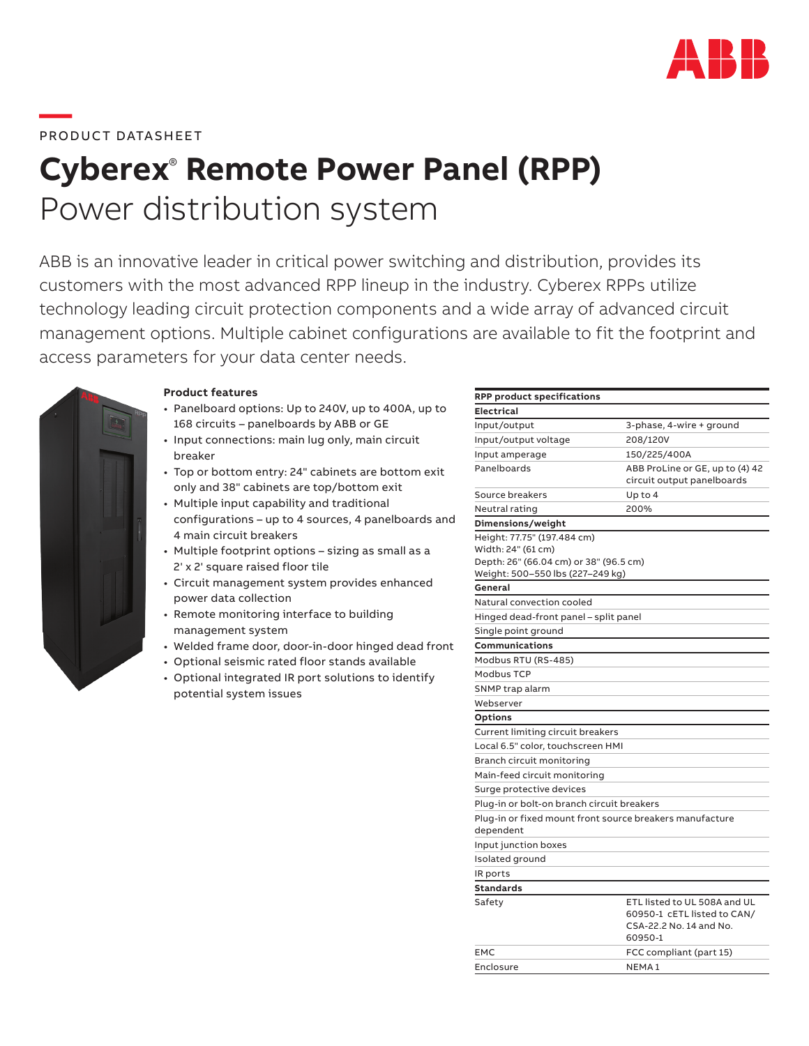

## **—**  PRODUCT DATASHEET

# **Cyberex**®  **Remote Power Panel (RPP)** Power distribution system

ABB is an innovative leader in critical power switching and distribution, provides its customers with the most advanced RPP lineup in the industry. Cyberex RPPs utilize technology leading circuit protection components and a wide array of advanced circuit management options. Multiple cabinet configurations are available to fit the footprint and access parameters for your data center needs.



## **Product features**

- Panelboard options: Up to 240V, up to 400A, up to 168 circuits – panelboards by ABB or GE
- Input connections: main lug only, main circuit breaker
- Top or bottom entry: 24" cabinets are bottom exit only and 38" cabinets are top/bottom exit
- Multiple input capability and traditional configurations – up to 4 sources, 4 panelboards and 4 main circuit breakers
- Multiple footprint options sizing as small as a 2' x 2' square raised floor tile
- Circuit management system provides enhanced power data collection
- Remote monitoring interface to building management system
- Welded frame door, door-in-door hinged dead front
- Optional seismic rated floor stands available
- Optional integrated IR port solutions to identify potential system issues

| <b>RPP product specifications</b>                                     |                                                                                                   |
|-----------------------------------------------------------------------|---------------------------------------------------------------------------------------------------|
| <b>Electrical</b>                                                     |                                                                                                   |
| Input/output                                                          | 3-phase, 4-wire + ground                                                                          |
| Input/output voltage                                                  | 208/120V                                                                                          |
| Input amperage                                                        | 150/225/400A                                                                                      |
| Panelboards                                                           | ABB ProLine or GE, up to (4) 42<br>circuit output panelboards                                     |
| Source breakers                                                       | Up to $4$                                                                                         |
| Neutral rating                                                        | 200%                                                                                              |
| Dimensions/weight                                                     |                                                                                                   |
| Height: 77.75" (197.484 cm)                                           |                                                                                                   |
| Width: 24" (61 cm)                                                    |                                                                                                   |
| Depth: 26" (66.04 cm) or 38" (96.5 cm)                                |                                                                                                   |
| Weight: 500–550 lbs (227–249 kg)                                      |                                                                                                   |
| General                                                               |                                                                                                   |
| Natural convection cooled                                             |                                                                                                   |
| Hinged dead-front panel – split panel                                 |                                                                                                   |
| Single point ground                                                   |                                                                                                   |
| Communications                                                        |                                                                                                   |
| Modbus RTU (RS-485)                                                   |                                                                                                   |
| Modbus TCP                                                            |                                                                                                   |
| SNMP trap alarm                                                       |                                                                                                   |
| Webserver                                                             |                                                                                                   |
| <b>Options</b>                                                        |                                                                                                   |
| Current limiting circuit breakers                                     |                                                                                                   |
| Local 6.5" color, touchscreen HMI                                     |                                                                                                   |
| Branch circuit monitoring                                             |                                                                                                   |
| Main-feed circuit monitoring                                          |                                                                                                   |
| Surge protective devices                                              |                                                                                                   |
| Plug-in or bolt-on branch circuit breakers                            |                                                                                                   |
| Plug-in or fixed mount front source breakers manufacture<br>dependent |                                                                                                   |
| Input junction boxes                                                  |                                                                                                   |
| Isolated ground                                                       |                                                                                                   |
| IR ports                                                              |                                                                                                   |
| <b>Standards</b>                                                      |                                                                                                   |
| Safety                                                                | ETL listed to UL 508A and UL<br>60950-1 cETL listed to CAN/<br>CSA-22.2 No. 14 and No.<br>60950-1 |
| <b>EMC</b>                                                            | FCC compliant (part 15)                                                                           |
| Enclosure                                                             | NFMA <sub>1</sub>                                                                                 |